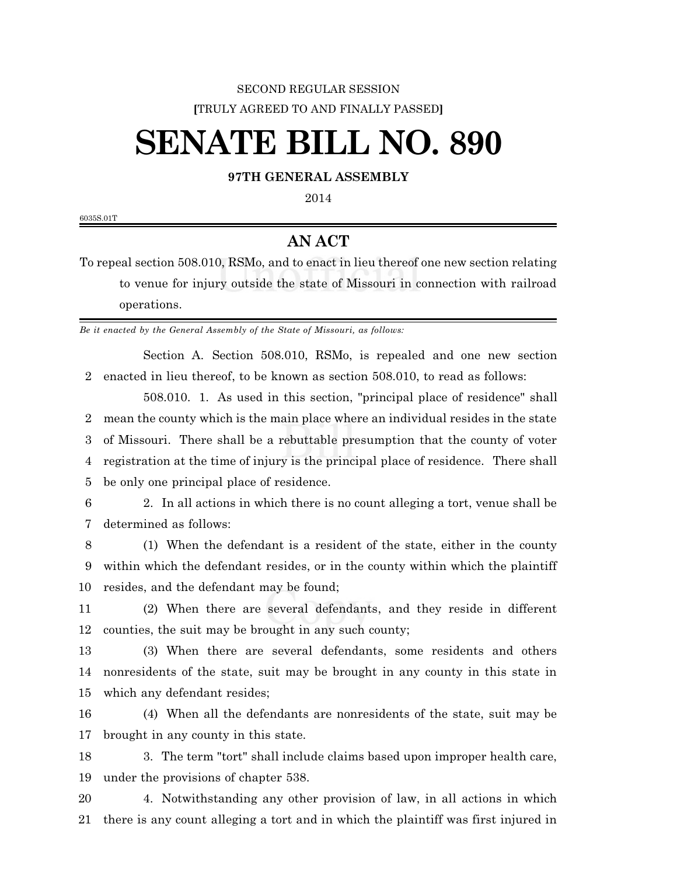## SECOND REGULAR SESSION **[**TRULY AGREED TO AND FINALLY PASSED**]**

## **SENATE BILL NO. 890**

## **97TH GENERAL ASSEMBLY**

6035S.01T

## **AN ACT**

To repeal section 508.010, RSMo, and to enact in lieu thereof one new section relating to venue for injury outside the state of Missouri in connection with railroad operations.

*Be it enacted by the General Assembly of the State of Missouri, as follows:*

Section A. Section 508.010, RSMo, is repealed and one new section enacted in lieu thereof, to be known as section 508.010, to read as follows:

508.010. 1. As used in this section, "principal place of residence" shall mean the county which is the main place where an individual resides in the state of Missouri. There shall be a rebuttable presumption that the county of voter registration at the time of injury is the principal place of residence. There shall be only one principal place of residence.

 2. In all actions in which there is no count alleging a tort, venue shall be determined as follows:

 (1) When the defendant is a resident of the state, either in the county within which the defendant resides, or in the county within which the plaintiff resides, and the defendant may be found;

 (2) When there are several defendants, and they reside in different counties, the suit may be brought in any such county;

 (3) When there are several defendants, some residents and others nonresidents of the state, suit may be brought in any county in this state in which any defendant resides;

 (4) When all the defendants are nonresidents of the state, suit may be brought in any county in this state.

 3. The term "tort" shall include claims based upon improper health care, under the provisions of chapter 538.

 4. Notwithstanding any other provision of law, in all actions in which there is any count alleging a tort and in which the plaintiff was first injured in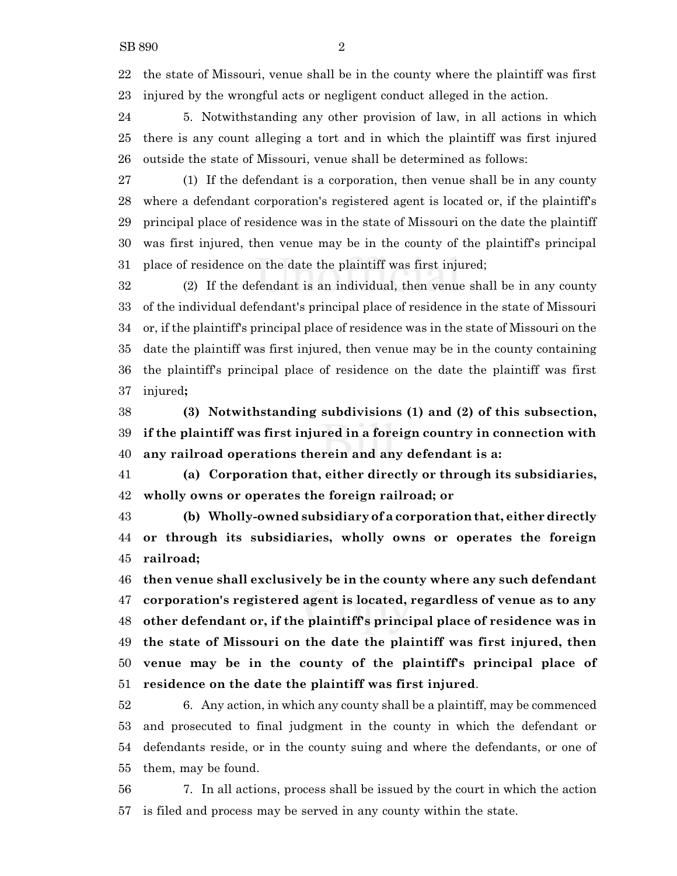the state of Missouri, venue shall be in the county where the plaintiff was first injured by the wrongful acts or negligent conduct alleged in the action.

 5. Notwithstanding any other provision of law, in all actions in which there is any count alleging a tort and in which the plaintiff was first injured outside the state of Missouri, venue shall be determined as follows:

 (1) If the defendant is a corporation, then venue shall be in any county where a defendant corporation's registered agent is located or, if the plaintiff's principal place of residence was in the state of Missouri on the date the plaintiff was first injured, then venue may be in the county of the plaintiff's principal place of residence on the date the plaintiff was first injured;

 (2) If the defendant is an individual, then venue shall be in any county of the individual defendant's principal place of residence in the state of Missouri or, if the plaintiff's principal place of residence was in the state of Missouri on the date the plaintiff was first injured, then venue may be in the county containing the plaintiff's principal place of residence on the date the plaintiff was first injured**;**

 **(3) Notwithstanding subdivisions (1) and (2) of this subsection, if the plaintiff was first injured in a foreign country in connection with any railroad operations therein and any defendant is a:**

 **(a) Corporation that, either directly or through its subsidiaries, wholly owns or operates the foreign railroad; or**

 **(b) Wholly-owned subsidiary of a corporation that, either directly or through its subsidiaries, wholly owns or operates the foreign railroad;**

 **then venue shall exclusively be in the county where any such defendant corporation's registered agent is located, regardless of venue as to any other defendant or, if the plaintiff's principal place of residence was in the state of Missouri on the date the plaintiff was first injured, then venue may be in the county of the plaintiff's principal place of residence on the date the plaintiff was first injured**.

 6. Any action, in which any county shall be a plaintiff, may be commenced and prosecuted to final judgment in the county in which the defendant or defendants reside, or in the county suing and where the defendants, or one of them, may be found.

 7. In all actions, process shall be issued by the court in which the action is filed and process may be served in any county within the state.